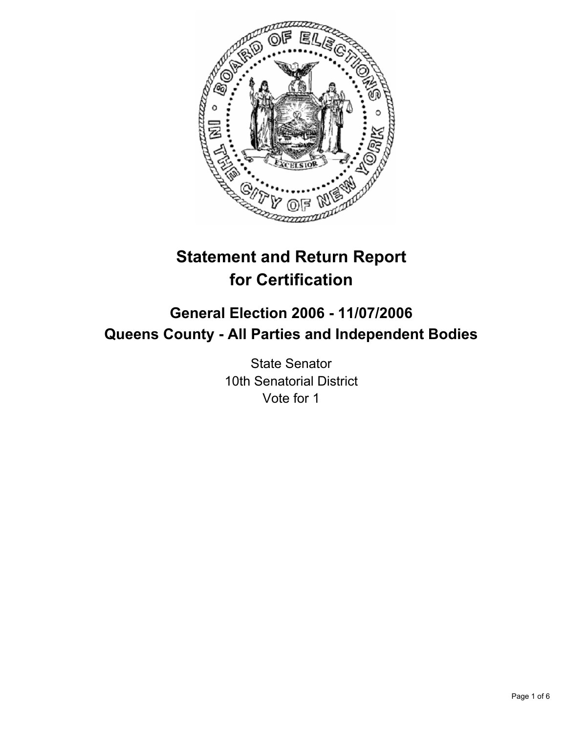

# **Statement and Return Report for Certification**

## **General Election 2006 - 11/07/2006 Queens County - All Parties and Independent Bodies**

State Senator 10th Senatorial District Vote for 1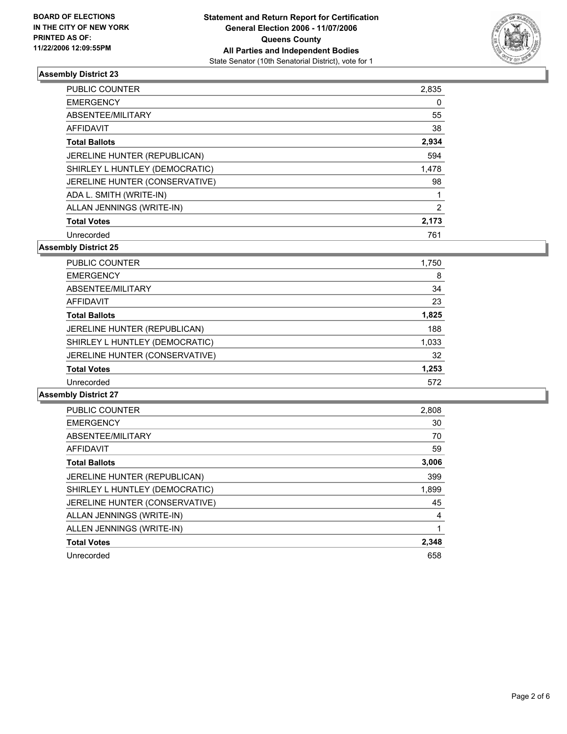

| PUBLIC COUNTER                 | 2,835 |
|--------------------------------|-------|
| <b>EMERGENCY</b>               |       |
| ABSENTEE/MILITARY              | 55    |
| <b>AFFIDAVIT</b>               | 38    |
| <b>Total Ballots</b>           | 2,934 |
| JERELINE HUNTER (REPUBLICAN)   | 594   |
| SHIRLEY L HUNTLEY (DEMOCRATIC) | 1,478 |
| JERELINE HUNTER (CONSERVATIVE) | 98    |
| ADA L. SMITH (WRITE-IN)        |       |
| ALLAN JENNINGS (WRITE-IN)      |       |
| <b>Total Votes</b>             | 2,173 |
| Unrecorded                     | 761   |

**Assembly District 25**

| <b>PUBLIC COUNTER</b>          | 1,750 |
|--------------------------------|-------|
| <b>EMERGENCY</b>               | 8     |
| ABSENTEE/MILITARY              | 34    |
| AFFIDAVIT                      | 23    |
| <b>Total Ballots</b>           | 1,825 |
| JERELINE HUNTER (REPUBLICAN)   | 188   |
| SHIRLEY L HUNTLEY (DEMOCRATIC) | 1,033 |
| JERELINE HUNTER (CONSERVATIVE) | 32    |
| <b>Total Votes</b>             | 1,253 |
| Unrecorded                     | 572   |

| PUBLIC COUNTER                 | 2,808 |
|--------------------------------|-------|
| <b>EMERGENCY</b>               | 30    |
| ABSENTEE/MILITARY              | 70    |
| AFFIDAVIT                      | 59    |
| <b>Total Ballots</b>           | 3,006 |
| JERELINE HUNTER (REPUBLICAN)   | 399   |
| SHIRLEY L HUNTLEY (DEMOCRATIC) | 1,899 |
| JERELINE HUNTER (CONSERVATIVE) | 45    |
| ALLAN JENNINGS (WRITE-IN)      | 4     |
| ALLEN JENNINGS (WRITE-IN)      |       |
| <b>Total Votes</b>             | 2,348 |
| Unrecorded                     | 658   |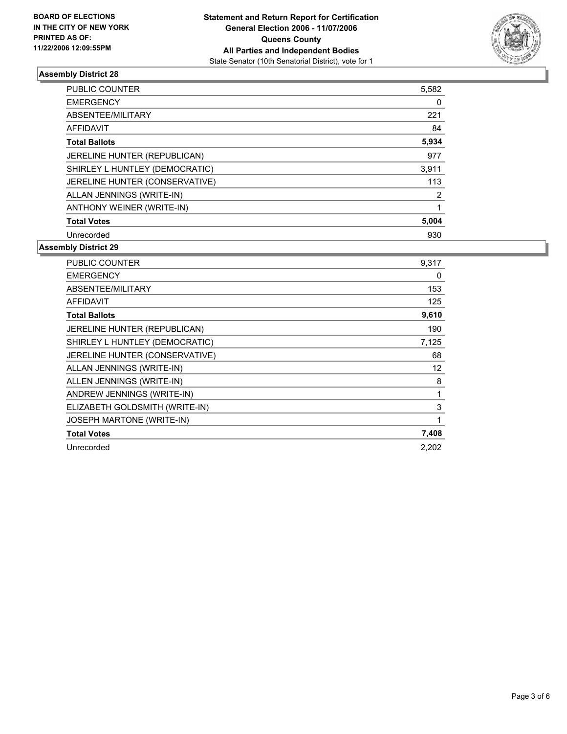

| PUBLIC COUNTER                 | 5,582 |
|--------------------------------|-------|
| <b>EMERGENCY</b>               | 0     |
| ABSENTEE/MILITARY              | 221   |
| AFFIDAVIT                      | 84    |
| <b>Total Ballots</b>           | 5,934 |
| JERELINE HUNTER (REPUBLICAN)   | 977   |
| SHIRLEY L HUNTLEY (DEMOCRATIC) | 3,911 |
| JERELINE HUNTER (CONSERVATIVE) | 113   |
| ALLAN JENNINGS (WRITE-IN)      | 2     |
| ANTHONY WEINER (WRITE-IN)      |       |
| <b>Total Votes</b>             | 5,004 |
| Unrecorded                     | 930   |

| PUBLIC COUNTER                 | 9,317 |
|--------------------------------|-------|
| <b>EMERGENCY</b>               | 0     |
| ABSENTEE/MILITARY              | 153   |
| <b>AFFIDAVIT</b>               | 125   |
| <b>Total Ballots</b>           | 9,610 |
| JERELINE HUNTER (REPUBLICAN)   | 190   |
| SHIRLEY L HUNTLEY (DEMOCRATIC) | 7,125 |
| JERELINE HUNTER (CONSERVATIVE) | 68    |
| ALLAN JENNINGS (WRITE-IN)      | 12    |
| ALLEN JENNINGS (WRITE-IN)      | 8     |
| ANDREW JENNINGS (WRITE-IN)     |       |
| ELIZABETH GOLDSMITH (WRITE-IN) | 3     |
| JOSEPH MARTONE (WRITE-IN)      |       |
| <b>Total Votes</b>             | 7,408 |
| Unrecorded                     | 2.202 |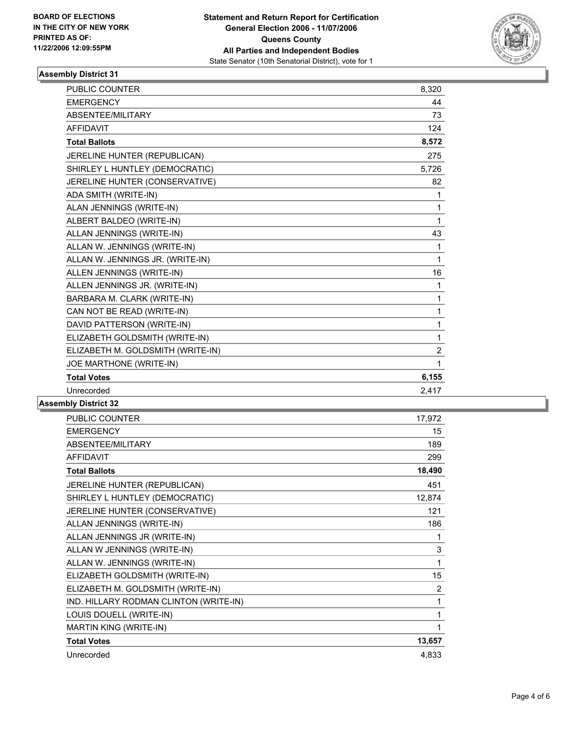

| <b>PUBLIC COUNTER</b>             | 8,320          |  |
|-----------------------------------|----------------|--|
| <b>EMERGENCY</b>                  | 44             |  |
| ABSENTEE/MILITARY                 | 73             |  |
| <b>AFFIDAVIT</b>                  | 124            |  |
| <b>Total Ballots</b>              | 8,572          |  |
| JERELINE HUNTER (REPUBLICAN)      | 275            |  |
| SHIRLEY L HUNTLEY (DEMOCRATIC)    | 5.726          |  |
| JERELINE HUNTER (CONSERVATIVE)    | 82             |  |
| ADA SMITH (WRITE-IN)              | 1              |  |
| ALAN JENNINGS (WRITE-IN)          | 1              |  |
| ALBERT BALDEO (WRITE-IN)          | 1              |  |
| ALLAN JENNINGS (WRITE-IN)         | 43             |  |
| ALLAN W. JENNINGS (WRITE-IN)      | 1              |  |
| ALLAN W. JENNINGS JR. (WRITE-IN)  | 1              |  |
| ALLEN JENNINGS (WRITE-IN)         | 16             |  |
| ALLEN JENNINGS JR. (WRITE-IN)     | 1              |  |
| BARBARA M. CLARK (WRITE-IN)       | 1              |  |
| CAN NOT BE READ (WRITE-IN)        | 1              |  |
| DAVID PATTERSON (WRITE-IN)        | 1              |  |
| ELIZABETH GOLDSMITH (WRITE-IN)    | 1              |  |
| ELIZABETH M. GOLDSMITH (WRITE-IN) | $\overline{2}$ |  |
| JOE MARTHONE (WRITE-IN)           | 1              |  |
| <b>Total Votes</b>                | 6,155          |  |
| Unrecorded                        | 2,417          |  |
| <b>LL. Blattlet 00</b>            |                |  |

| PUBLIC COUNTER                         | 17,972         |
|----------------------------------------|----------------|
| <b>EMERGENCY</b>                       | 15             |
| ABSENTEE/MILITARY                      | 189            |
| <b>AFFIDAVIT</b>                       | 299            |
| <b>Total Ballots</b>                   | 18,490         |
| JERELINE HUNTER (REPUBLICAN)           | 451            |
| SHIRLEY L HUNTLEY (DEMOCRATIC)         | 12,874         |
| JERELINE HUNTER (CONSERVATIVE)         | 121            |
| ALLAN JENNINGS (WRITE-IN)              | 186            |
| ALLAN JENNINGS JR (WRITE-IN)           |                |
| ALLAN W JENNINGS (WRITE-IN)            | 3              |
| ALLAN W. JENNINGS (WRITE-IN)           | 1              |
| ELIZABETH GOLDSMITH (WRITE-IN)         | 15             |
| ELIZABETH M. GOLDSMITH (WRITE-IN)      | $\overline{2}$ |
| IND. HILLARY RODMAN CLINTON (WRITE-IN) | 1              |
| LOUIS DOUELL (WRITE-IN)                | 1              |
| MARTIN KING (WRITE-IN)                 |                |
| <b>Total Votes</b>                     | 13,657         |
| Unrecorded                             | 4,833          |
|                                        |                |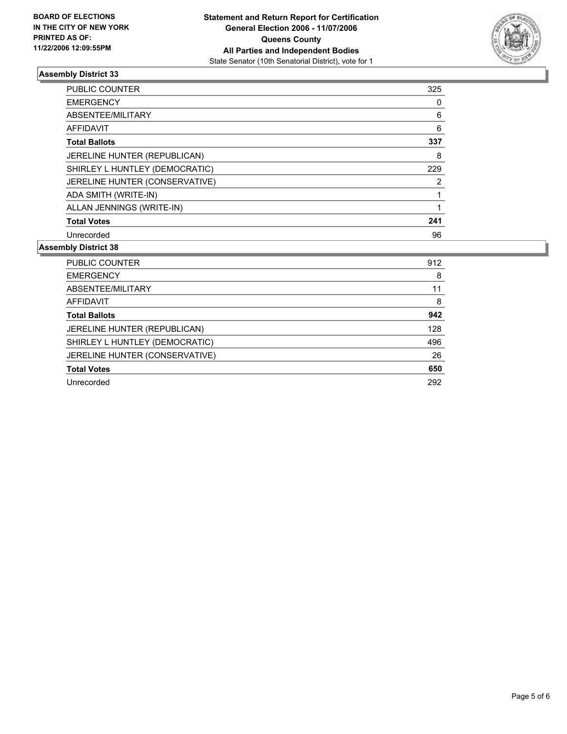

| <b>PUBLIC COUNTER</b>          | 325 |  |
|--------------------------------|-----|--|
| <b>EMERGENCY</b>               |     |  |
| ABSENTEE/MILITARY              | 6   |  |
| AFFIDAVIT                      | 6   |  |
| <b>Total Ballots</b>           | 337 |  |
| JERELINE HUNTER (REPUBLICAN)   | 8   |  |
| SHIRLEY L HUNTLEY (DEMOCRATIC) | 229 |  |
| JERELINE HUNTER (CONSERVATIVE) |     |  |
| ADA SMITH (WRITE-IN)           |     |  |
| ALLAN JENNINGS (WRITE-IN)      |     |  |
| <b>Total Votes</b>             | 241 |  |
| Unrecorded                     | 96  |  |

| <b>PUBLIC COUNTER</b>          | 912 |
|--------------------------------|-----|
| <b>EMERGENCY</b>               | 8   |
| ABSENTEE/MILITARY              | 11  |
| AFFIDAVIT                      | 8   |
| <b>Total Ballots</b>           | 942 |
| JERELINE HUNTER (REPUBLICAN)   | 128 |
| SHIRLEY L HUNTLEY (DEMOCRATIC) | 496 |
| JERELINE HUNTER (CONSERVATIVE) | 26  |
| <b>Total Votes</b>             | 650 |
| Unrecorded                     | 292 |